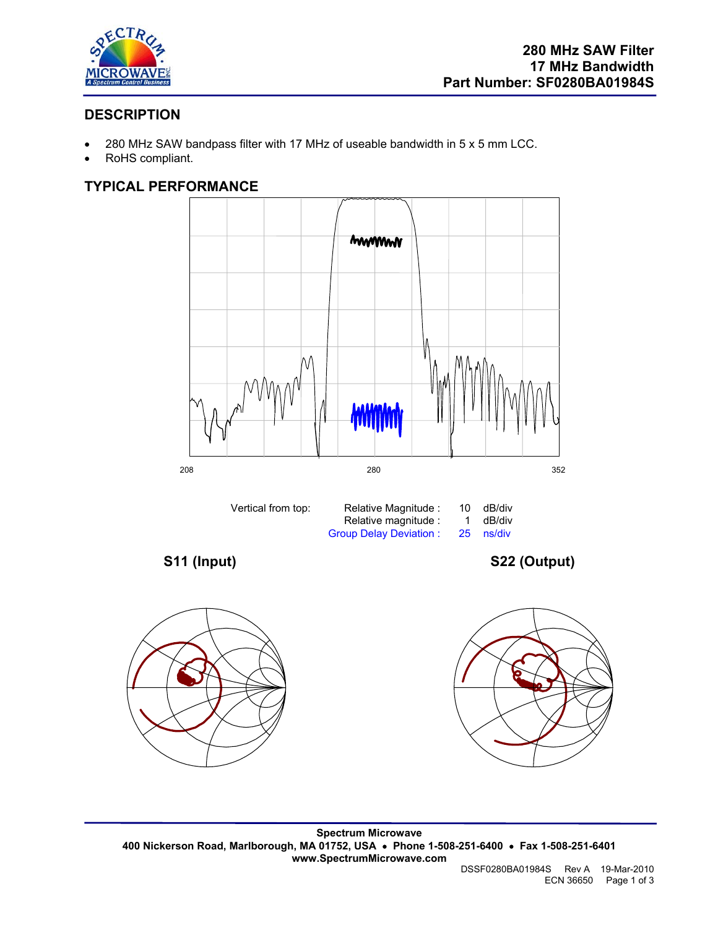

# **DESCRIPTION**

- 280 MHz SAW bandpass filter with 17 MHz of useable bandwidth in 5 x 5 mm LCC.
- RoHS compliant.

## **TYPICAL PERFORMANCE**







**Spectrum Microwave 400 Nickerson Road, Marlborough, MA 01752, USA** • **Phone 1-508-251-6400** • **Fax 1-508-251-6401 www.SpectrumMicrowave.com**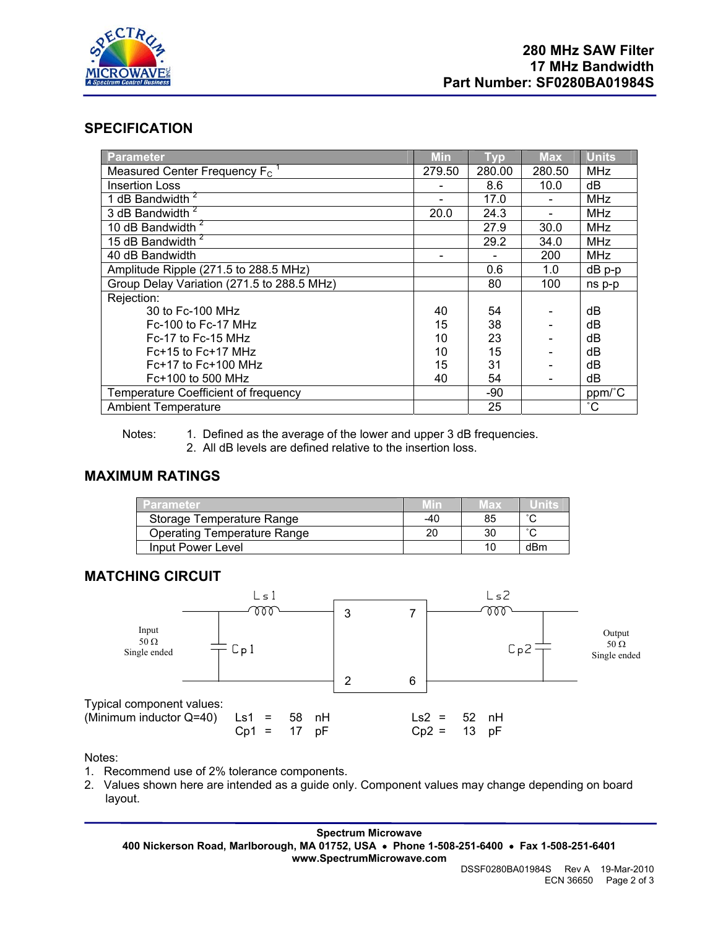

### **SPECIFICATION**

| Parameter                                    | Min    | <b>Typ</b> | <b>Max</b> | <b>Units</b> |
|----------------------------------------------|--------|------------|------------|--------------|
| Measured Center Frequency $F_c$ <sup>1</sup> | 279.50 | 280.00     | 280.50     | <b>MHz</b>   |
| <b>Insertion Loss</b>                        |        | 8.6        | 10.0       | dB           |
| 1 dB Bandwidth $2^7$                         |        | 17.0       |            | <b>MHz</b>   |
| 3 dB Bandwidth <sup>2</sup>                  | 20.0   | 24.3       |            | <b>MHz</b>   |
| 10 dB Bandwidth <sup>2</sup>                 |        | 27.9       | 30.0       | <b>MHz</b>   |
| 15 dB Bandwidth <sup>2</sup>                 |        | 29.2       | 34.0       | <b>MHz</b>   |
| 40 dB Bandwidth                              |        |            | 200        | <b>MHz</b>   |
| Amplitude Ripple (271.5 to 288.5 MHz)        |        | 0.6        | 1.0        | dB p-p       |
| Group Delay Variation (271.5 to 288.5 MHz)   |        | 80         | 100        | ns p-p       |
| Rejection:                                   |        |            |            |              |
| 30 to Fc-100 MHz                             | 40     | 54         |            | dB           |
| $Fc-100$ to $Fc-17$ MHz                      | 15     | 38         |            | dB           |
| $Fc-17$ to $Fc-15$ MHz                       | 10     | 23         |            | dB           |
| $Fc+15$ to $Fc+17$ MHz                       | 10     | 15         |            | dB           |
| $Fc+17$ to $Fc+100$ MHz                      | 15     | 31         |            | dB           |
| $Fc+100$ to 500 MHz                          | 40     | 54         |            | dB           |
| Temperature Coefficient of frequency         |        | -90        |            | ppm/°C       |
| <b>Ambient Temperature</b>                   |        | 25         |            | $^{\circ}$ C |

Notes: 1. Defined as the average of the lower and upper 3 dB frequencies.

2. All dB levels are defined relative to the insertion loss.

### **MAXIMUM RATINGS**

| <b>Parameter</b>                   | / In | мах |        |
|------------------------------------|------|-----|--------|
| Storage Temperature Range          | -40  | 85  | $\sim$ |
| <b>Operating Temperature Range</b> | 20   | 30  | $\sim$ |
| Input Power Level                  |      | 10  | dBm    |

### **MATCHING CIRCUIT**



Notes:

- 1. Recommend use of 2% tolerance components.
- 2. Values shown here are intended as a guide only. Component values may change depending on board layout.

**Spectrum Microwave 400 Nickerson Road, Marlborough, MA 01752, USA** • **Phone 1-508-251-6400** • **Fax 1-508-251-6401 www.SpectrumMicrowave.com**